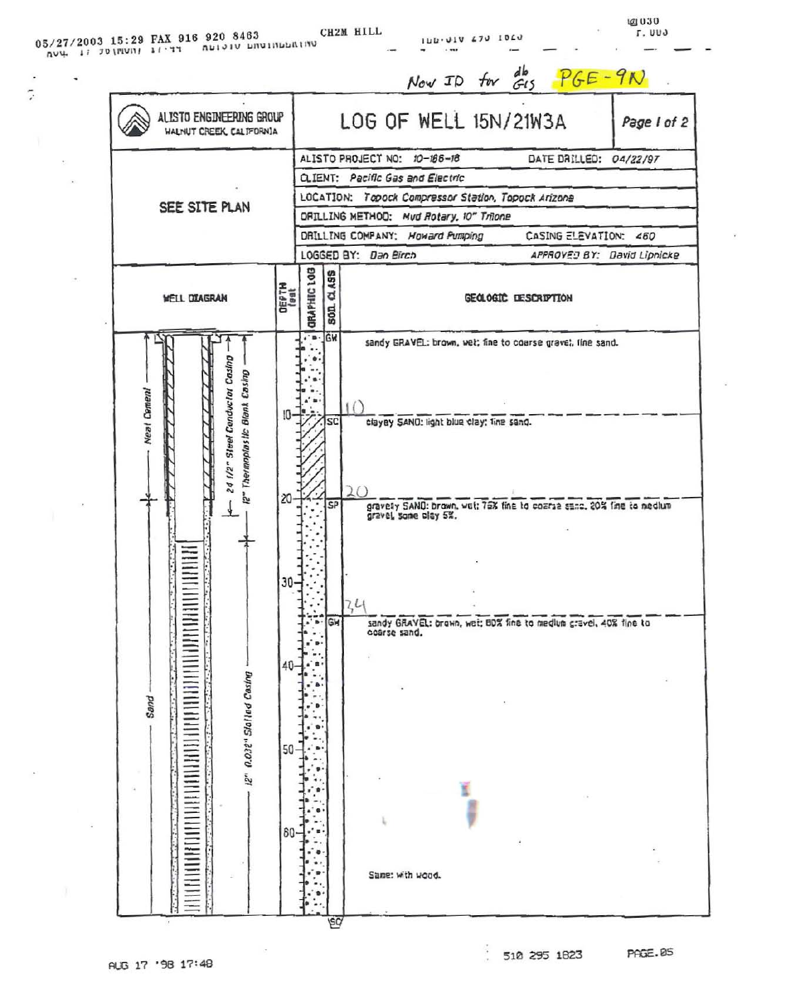| 05/27/2003 15:29 FAX 916 920 8463<br>$704.170$ (FIVIT) $11.77$ |  | החיווה ומחורשות הופותח |  | CH2M HILL |
|----------------------------------------------------------------|--|------------------------|--|-----------|
|----------------------------------------------------------------|--|------------------------|--|-----------|

 $\cdot$ 

 $\overline{\cdot}$ 

 $\ddot{\phantom{a}}$ 

ò. Ŷ.

 $\mathcal{L}$ 

188.910 230 1950

@1030<br>Γ. 000

¥

 $\mu$ 

| ALISTO ENGINEERING GROUP<br><b>WALNUT CREEK, CALIFORNIA</b>      |                   |                                                                                   |              | LOG OF WELL 15N/21W3A<br>Page I of 2                                                           |  |  |
|------------------------------------------------------------------|-------------------|-----------------------------------------------------------------------------------|--------------|------------------------------------------------------------------------------------------------|--|--|
|                                                                  |                   |                                                                                   |              | ALISTO PROJECT NO: 10-186-18<br>DATE DRILLED: 04/22/97                                         |  |  |
|                                                                  |                   | <b>Q.IENT: Pacific Gas and Electric</b>                                           |              |                                                                                                |  |  |
| SEE SITE PLAN                                                    |                   | LOCATION: Topock Compressor Station, Topock Arizone                               |              |                                                                                                |  |  |
|                                                                  |                   | DRILLING METHOD: Mud Rotary, 10" Trilone                                          |              |                                                                                                |  |  |
|                                                                  |                   | DRILLING COMPANY: Howard Pumping<br>CASING ELEVATION: 460<br>LOGGED BY: Dan Birch |              |                                                                                                |  |  |
|                                                                  |                   |                                                                                   |              | APPROVED BY: David Lipnicke                                                                    |  |  |
| <b>WELL DIAGRAM</b>                                              | $\frac{100}{100}$ | <b>ORAPHIC LOB</b>                                                                | 0.495<br>50R | GEOLOGIC DESCRIPTION                                                                           |  |  |
| 24 1/2" Steel Conductor Casing<br>12" Thermoplastic Blank Casing |                   | $\cdot$ = $GM$                                                                    |              | sandy GRAVEL: brown, wet; fine to coarse grave!, fine sand.                                    |  |  |
|                                                                  | 10-               |                                                                                   |              |                                                                                                |  |  |
| <b>Neal Cement</b>                                               |                   |                                                                                   | SC           | clayey SANO: light blue clay: fine sand.                                                       |  |  |
|                                                                  |                   |                                                                                   |              |                                                                                                |  |  |
|                                                                  |                   |                                                                                   |              |                                                                                                |  |  |
|                                                                  | 20                |                                                                                   |              |                                                                                                |  |  |
|                                                                  |                   |                                                                                   | SP           | gravely SAND: brown, wet: 75% fine to coarse senc. 20% fine to nectum<br>gravel, some clay 5%. |  |  |
|                                                                  |                   |                                                                                   |              |                                                                                                |  |  |
|                                                                  |                   |                                                                                   |              |                                                                                                |  |  |
| Ξ                                                                | $30 -$            |                                                                                   |              |                                                                                                |  |  |
|                                                                  |                   |                                                                                   |              |                                                                                                |  |  |
|                                                                  |                   | ٠                                                                                 | $B = GH$     | 44<br>sandy GRAVEL: brown, wet; BDX fine to medium gravel, 40% fine to                         |  |  |
| <b>UNITED</b>                                                    |                   |                                                                                   |              | coarse sand.                                                                                   |  |  |
|                                                                  | 40-               |                                                                                   |              |                                                                                                |  |  |
|                                                                  |                   |                                                                                   |              |                                                                                                |  |  |
| 12" 0.032" Slotled Casing<br>Sand                                |                   |                                                                                   |              |                                                                                                |  |  |
|                                                                  |                   |                                                                                   |              |                                                                                                |  |  |
|                                                                  |                   |                                                                                   |              |                                                                                                |  |  |
|                                                                  | $50 -$            |                                                                                   |              |                                                                                                |  |  |
|                                                                  |                   |                                                                                   |              |                                                                                                |  |  |
|                                                                  |                   |                                                                                   |              |                                                                                                |  |  |
|                                                                  |                   |                                                                                   |              |                                                                                                |  |  |
|                                                                  | $80 -$            |                                                                                   |              |                                                                                                |  |  |
| iιl                                                              |                   |                                                                                   |              |                                                                                                |  |  |
|                                                                  |                   |                                                                                   |              | Same: with wood.                                                                               |  |  |

 $\sim$